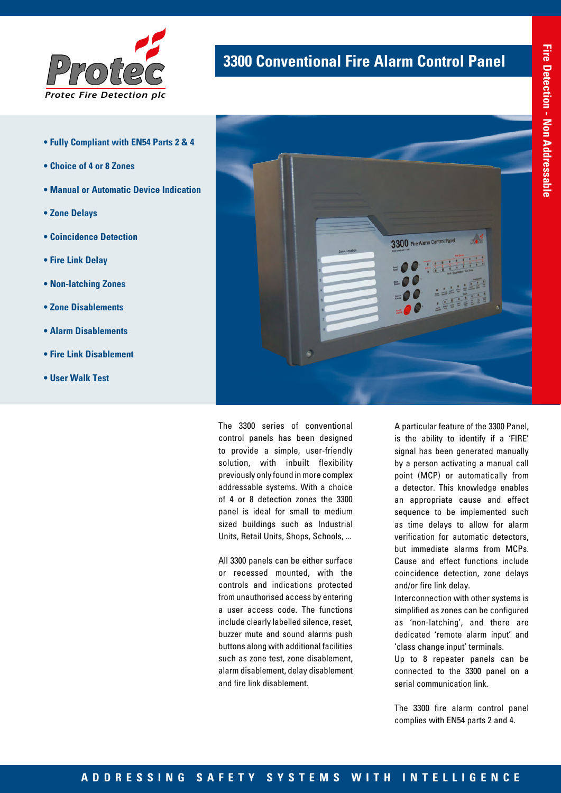

- **Fully Compliant with EN54 Parts 2 & 4**
- **Choice of 4 or 8 Zones**
- **Manual or Automatic Device Indication**
- **Zone Delays**
- **Coincidence Detection**
- **Fire Link Delay**
- **Non-latching Zones**
- **Zone Disablements**
- **Alarm Disablements**
- **Fire Link Disablement**
- **User Walk Test**

## **3300 Conventional Fire Alarm Control Panel**



The 3300 series of conventional control panels has been designed to provide a simple, user-friendly solution, with inbuilt flexibility previously only found in more complex addressable systems. With a choice of 4 or 8 detection zones the 3300 panel is ideal for small to medium sized buildings such as Industrial Units, Retail Units, Shops, Schools, ...

All 3300 panels can be either surface or recessed mounted, with the controls and indications protected from unauthorised access by entering a user access code. The functions include clearly labelled silence, reset, buzzer mute and sound alarms push buttons along with additional facilities such as zone test, zone disablement, alarm disablement, delay disablement and fire link disablement.

A particular feature of the 3300 Panel, is the ability to identify if a 'FIRE' signal has been generated manually by a person activating a manual call point (MCP) or automatically from a detector. This knowledge enables an appropriate cause and effect sequence to be implemented such as time delays to allow for alarm verification for automatic detectors, but immediate alarms from MCPs. Cause and effect functions include coincidence detection, zone delays and/or fire link delay.

Interconnection with other systems is simplified as zones can be configured as 'non-latching', and there are dedicated 'remote alarm input' and 'class change input' terminals.

Up to 8 repeater panels can be connected to the 3300 panel on a serial communication link.

The 3300 fire alarm control panel complies with EN54 parts 2 and 4.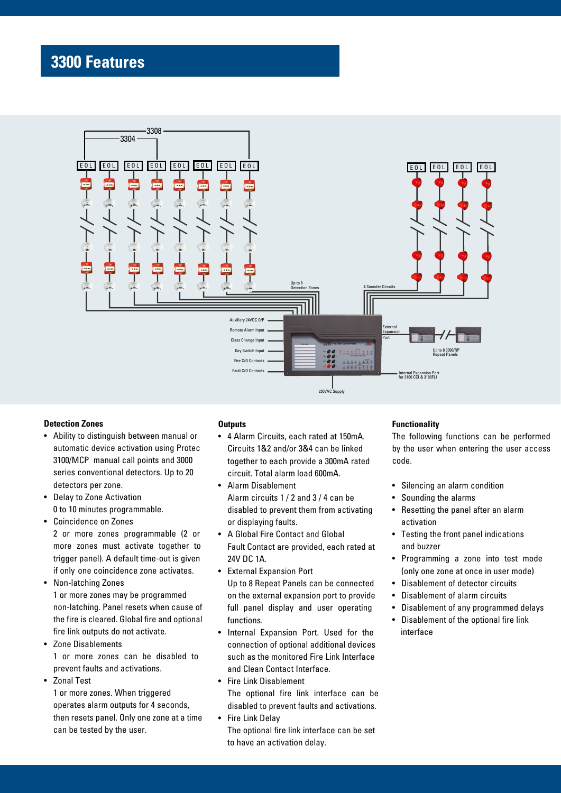## **3300 Features**



### **Detection Zones**

- Ability to distinguish between manual or automatic device activation using Protec 3100/MCP manual call points and 3000 series conventional detectors. Up to 20 detectors per zone.
- Delay to Zone Activation 0 to 10 minutes programmable.
- Coincidence on Zones

2 or more zones programmable (2 or more zones must activate together to trigger panel). A default time-out is given if only one coincidence zone activates.

- Non-latching Zones 1 or more zones may be programmed non-latching. Panel resets when cause of the fire is cleared. Global fire and optional fire link outputs do not activate.
- Zone Disablements 1 or more zones can be disabled to prevent faults and activations.
- Zonal Test

1 or more zones. When triggered operates alarm outputs for 4 seconds, then resets panel. Only one zone at a time can be tested by the user.

#### **Outputs**

- 4 Alarm Circuits, each rated at 150mA. Circuits 1&2 and/or 3&4 can be linked together to each provide a 300mA rated circuit. Total alarm load 600mA.
- Alarm Disablement Alarm circuits 1 / 2 and 3 / 4 can be disabled to prevent them from activating or displaying faults.
- A Global Fire Contact and Global Fault Contact are provided, each rated at 24V DC 1A.
- External Expansion Port Up to 8 Repeat Panels can be connected on the external expansion port to provide full panel display and user operating functions.
- Internal Expansion Port. Used for the connection of optional additional devices such as the monitored Fire Link Interface and Clean Contact Interface.
- Fire Link Disablement The optional fire link interface can be disabled to prevent faults and activations.
- Fire Link Delay The optional fire link interface can be set to have an activation delay.

#### **Functionality**

The following functions can be performed by the user when entering the user access code.

- Silencing an alarm condition
- Sounding the alarms
- Resetting the panel after an alarm activation
- Testing the front panel indications and buzzer
- Programming a zone into test mode (only one zone at once in user mode)
- Disablement of detector circuits
- Disablement of alarm circuits
- Disablement of any programmed delays
- Disablement of the optional fire link interface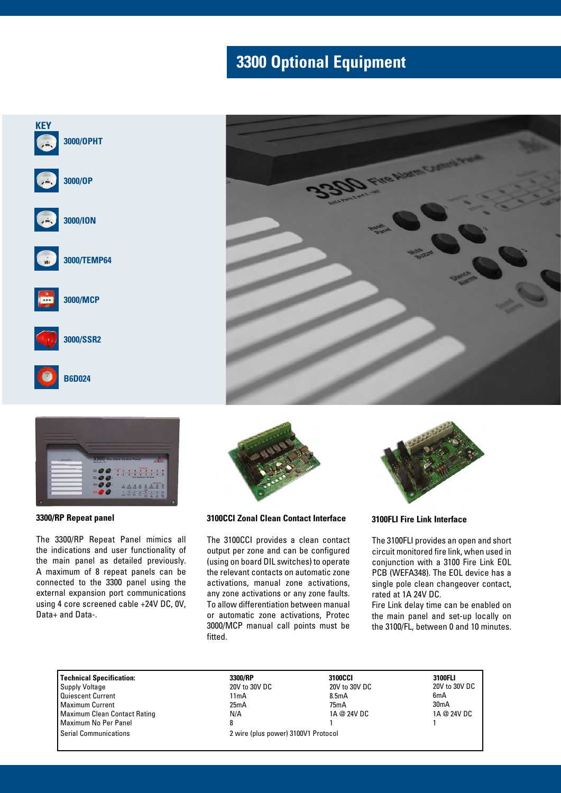## **3300 Optional Equipment**





**3300/RP Repeat panel** 

The 3300/RP Repeat Panel mimics all the indications and user functionality of the main panel as detailed previously. A maximum of 8 repeat panels can be connected to the 3300 panel using the external expansion port communications using 4 core screened cable +24V DC, 0V, Data+ and Data-.



**3100CCI Zonal Clean Contact Interface**

The 3100CCI provides a clean contact output per zone and can be configured (using on board DIL switches) to operate the relevant contacts on automatic zone activations, manual zone activations, any zone activations or any zone faults. To allow differentiation between manual or automatic zone activations, Protec 3000/MCP manual call points must be fitted.



**3100FLI Fire Link Interface**

He Warm Cre

The 3100FLI provides an open and short circuit monitored fire link, when used in conjunction with a 3100 Fire Link EOL PCB (WEFA348). The EOL device has a single pole clean changeover contact, rated at 1A 24V DC.

Fire Link delay time can be enabled on the main panel and set-up locally on the 3100/FL, between 0 and 10 minutes.

**Technical Specification: 3300/RP 3100CCI 3100FLI** Supply Voltage 20V to 30V to 30V to 30V to 30V to 30V to 30V to 30V to 30V to 30V to 30V to 30V to 30V to 30V to 30V to 30V to 30V to 30V to 30V to 30V to 30V to 30V to 30V to 30V to 30V to 30V to 30V to 30V to 30V to 30V quiescent Current 11mA<br>
Maximum Current 11mA<br>
25mA Maximum Current Maximum Clean Contact Rating MIX N/A Maximum No Per Panel 8

20V to 30V DC 8.5mA 75mA 1A @ 24V DC 1

20V to 30V DC 6mA 30mA 1A @ 24V DC 1

Serial Communications 2 wire (plus power) 3100V1 Protocol